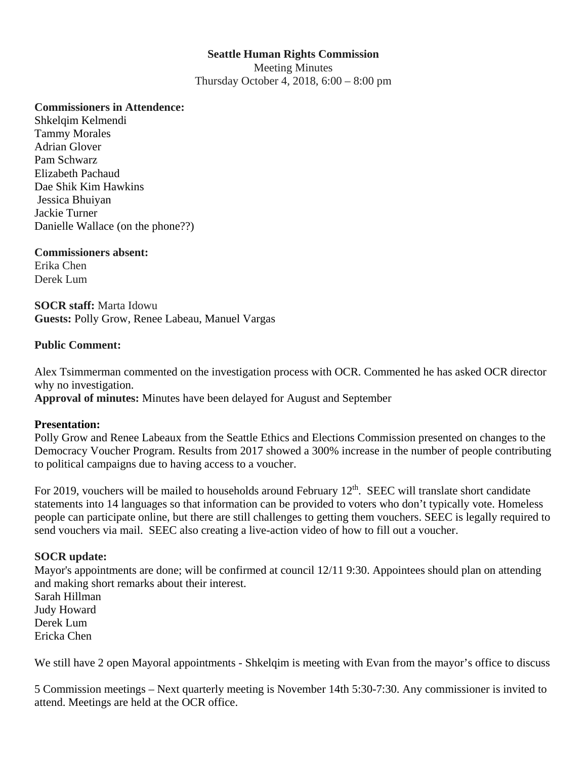### **Seattle Human Rights Commission**

Meeting Minutes Thursday October 4, 2018, 6:00 – 8:00 pm

#### **Commissioners in Attendence:**

Shkelqim Kelmendi Tammy Morales Adrian Glover Pam Schwarz Elizabeth Pachaud Dae Shik Kim Hawkins Jessica Bhuiyan Jackie Turner Danielle Wallace (on the phone??)

### **Commissioners absent:**

Erika Chen Derek Lum

**SOCR staff:** Marta Idowu **Guests:** Polly Grow, Renee Labeau, Manuel Vargas

### **Public Comment:**

Alex Tsimmerman commented on the investigation process with OCR. Commented he has asked OCR director why no investigation.

**Approval of minutes:** Minutes have been delayed for August and September

### **Presentation:**

Polly Grow and Renee Labeaux from the Seattle Ethics and Elections Commission presented on changes to the Democracy Voucher Program. Results from 2017 showed a 300% increase in the number of people contributing to political campaigns due to having access to a voucher.

For 2019, vouchers will be mailed to households around February 12<sup>th</sup>. SEEC will translate short candidate statements into 14 languages so that information can be provided to voters who don't typically vote. Homeless people can participate online, but there are still challenges to getting them vouchers. SEEC is legally required to send vouchers via mail. SEEC also creating a live-action video of how to fill out a voucher.

### **SOCR update:**

Mayor's appointments are done; will be confirmed at council 12/11 9:30. Appointees should plan on attending and making short remarks about their interest. Sarah Hillman Judy Howard Derek Lum

Ericka Chen

We still have 2 open Mayoral appointments - Shkelqim is meeting with Evan from the mayor's office to discuss

5 Commission meetings – Next quarterly meeting is November 14th 5:30-7:30. Any commissioner is invited to attend. Meetings are held at the OCR office.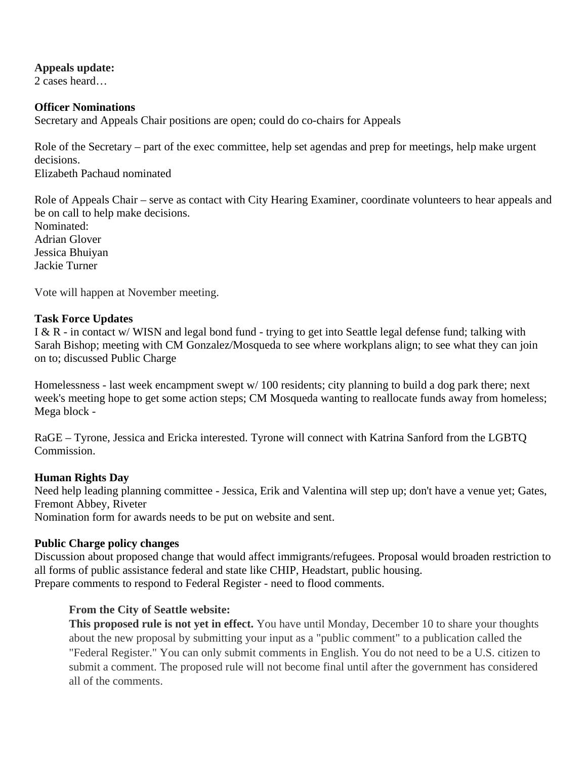### **Appeals update:**

2 cases heard…

## **Officer Nominations**

Secretary and Appeals Chair positions are open; could do co-chairs for Appeals

Role of the Secretary – part of the exec committee, help set agendas and prep for meetings, help make urgent decisions. Elizabeth Pachaud nominated

Role of Appeals Chair – serve as contact with City Hearing Examiner, coordinate volunteers to hear appeals and be on call to help make decisions. Nominated: Adrian Glover Jessica Bhuiyan Jackie Turner

Vote will happen at November meeting.

### **Task Force Updates**

I & R - in contact w/ WISN and legal bond fund - trying to get into Seattle legal defense fund; talking with Sarah Bishop; meeting with CM Gonzalez/Mosqueda to see where workplans align; to see what they can join on to; discussed Public Charge

Homelessness - last week encampment swept w/ 100 residents; city planning to build a dog park there; next week's meeting hope to get some action steps; CM Mosqueda wanting to reallocate funds away from homeless; Mega block -

RaGE – Tyrone, Jessica and Ericka interested. Tyrone will connect with Katrina Sanford from the LGBTQ Commission.

### **Human Rights Day**

Need help leading planning committee - Jessica, Erik and Valentina will step up; don't have a venue yet; Gates, Fremont Abbey, Riveter

Nomination form for awards needs to be put on website and sent.

### **Public Charge policy changes**

Discussion about proposed change that would affect immigrants/refugees. Proposal would broaden restriction to all forms of public assistance federal and state like CHIP, Headstart, public housing. Prepare comments to respond to Federal Register - need to flood comments.

# **From the City of Seattle website:**

**This proposed rule is not yet in effect.** You have until Monday, December 10 to share your thoughts about the new proposal by submitting your input as a "public comment" to a publication called the "Federal Register." You can only submit comments in English. You do not need to be a U.S. citizen to submit a comment. The proposed rule will not become final until after the government has considered all of the comments.